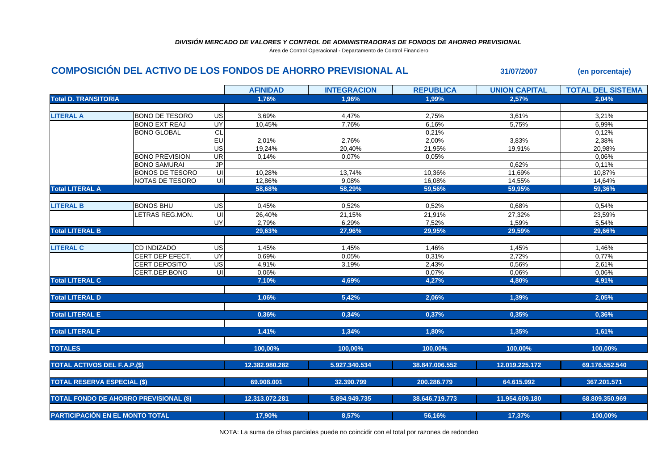## *DIVISIÓN MERCADO DE VALORES Y CONTROL DE ADMINISTRADORAS DE FONDOS DE AHORRO PREVISIONAL*

Área de Control Operacional - Departamento de Control Financiero

## **COMPOSICIÓN DEL ACTIVO DE LOS FONDOS DE AHORRO PREVISIONAL AL 31/07/2007 (en porcentaje)**

| <b>Total D. TRANSITORIA</b><br>1,76%<br>1,96%<br>1,99%<br>2,57%<br>2,04%<br><b>BONO DE TESORO</b><br>4,47%<br>3,61%<br>3,21%<br>US<br>3,69%<br>2,75%<br><b>BONO EXT REAJ</b><br>UY<br>10,45%<br>7,76%<br>6,16%<br>6,99%<br>5,75%<br>CL<br>0,12%<br><b>BONO GLOBAL</b><br>0,21%<br>EU<br>2,38%<br>2,01%<br>2,76%<br>2,00%<br>3,83%<br>US<br>19,24%<br>21,95%<br>20,98%<br>20,40%<br>19,91%<br><b>UR</b><br><b>BONO PREVISION</b><br>0,14%<br>0,07%<br>0,05%<br>0,06%<br>$\overline{J}$<br><b>BONO SAMURAI</b><br>0,62%<br>0,11%<br>$\subseteq$<br><b>BONOS DE TESORO</b><br>10,28%<br>13,74%<br>11,69%<br>10,87%<br>10,36%<br>$\overline{\mathsf{c}}$<br>NOTAS DE TESORO<br>12,86%<br>9,08%<br>16,08%<br>14,55%<br>14,64%<br>59,95%<br><b>Total LITERAL A</b><br>58,68%<br>58,29%<br>59,56%<br>59,36%<br><b>BONOS BHU</b><br>US<br>0,45%<br>0,52%<br>0,52%<br>0,68%<br>0,54%<br>LETRAS REG.MON.<br>UI<br>26,40%<br>21,15%<br>21,91%<br>27,32%<br>23,59%<br>UY<br>2,79%<br>6,29%<br>7,52%<br>1,59%<br>5,54%<br>29,66%<br>29,63%<br>27,96%<br>29,95%<br>29,59%<br><b>LITERAL C</b><br>US<br>CD INDIZADO<br>1,45%<br>1,45%<br>1,46%<br>1,45%<br>1,46%<br>CERT DEP EFECT.<br>UY<br>0,69%<br>0,05%<br>0,31%<br>2,72%<br>0,77%<br>US<br>4,91%<br>2,61%<br><b>CERT DEPOSITO</b><br>3,19%<br>2,43%<br>0,56%<br>UI<br>CERT.DEP.BONO<br>0,06%<br>0,06%<br>0,06%<br>0,07%<br>4,69%<br>7,10%<br>4,27%<br>4,91%<br>4,80%<br><b>Total LITERAL D</b><br>1,06%<br>5,42%<br>2,06%<br>2,05%<br>1,39%<br>0,36%<br><b>Total LITERAL E</b><br>0,36%<br>0,34%<br>0,35%<br>0,37%<br>1,41%<br>1,35%<br>1,61%<br><b>Total LITERAL F</b><br>1,34%<br>1,80%<br><b>TOTALES</b><br>100.00%<br>100.00%<br>100.00%<br>100.00%<br>100.00%<br>12.382.980.282<br>5.927.340.534<br>38.847.006.552<br>12.019.225.172<br>69.176.552.540 |  | <b>AFINIDAD</b> | <b>INTEGRACION</b> | <b>REPUBLICA</b> | <b>UNION CAPITAL</b> | <b>TOTAL DEL SISTEMA</b> |
|---------------------------------------------------------------------------------------------------------------------------------------------------------------------------------------------------------------------------------------------------------------------------------------------------------------------------------------------------------------------------------------------------------------------------------------------------------------------------------------------------------------------------------------------------------------------------------------------------------------------------------------------------------------------------------------------------------------------------------------------------------------------------------------------------------------------------------------------------------------------------------------------------------------------------------------------------------------------------------------------------------------------------------------------------------------------------------------------------------------------------------------------------------------------------------------------------------------------------------------------------------------------------------------------------------------------------------------------------------------------------------------------------------------------------------------------------------------------------------------------------------------------------------------------------------------------------------------------------------------------------------------------------------------------------------------------------------------------------------------------------------------------------------------------------|--|-----------------|--------------------|------------------|----------------------|--------------------------|
|                                                                                                                                                                                                                                                                                                                                                                                                                                                                                                                                                                                                                                                                                                                                                                                                                                                                                                                                                                                                                                                                                                                                                                                                                                                                                                                                                                                                                                                                                                                                                                                                                                                                                                                                                                                                   |  |                 |                    |                  |                      |                          |
| <b>LITERAL A</b><br><b>LITERAL B</b><br><b>Total LITERAL B</b><br><b>Total LITERAL C</b><br><b>TOTAL ACTIVOS DEL F.A.P.(\$)</b>                                                                                                                                                                                                                                                                                                                                                                                                                                                                                                                                                                                                                                                                                                                                                                                                                                                                                                                                                                                                                                                                                                                                                                                                                                                                                                                                                                                                                                                                                                                                                                                                                                                                   |  |                 |                    |                  |                      |                          |
|                                                                                                                                                                                                                                                                                                                                                                                                                                                                                                                                                                                                                                                                                                                                                                                                                                                                                                                                                                                                                                                                                                                                                                                                                                                                                                                                                                                                                                                                                                                                                                                                                                                                                                                                                                                                   |  |                 |                    |                  |                      |                          |
|                                                                                                                                                                                                                                                                                                                                                                                                                                                                                                                                                                                                                                                                                                                                                                                                                                                                                                                                                                                                                                                                                                                                                                                                                                                                                                                                                                                                                                                                                                                                                                                                                                                                                                                                                                                                   |  |                 |                    |                  |                      |                          |
|                                                                                                                                                                                                                                                                                                                                                                                                                                                                                                                                                                                                                                                                                                                                                                                                                                                                                                                                                                                                                                                                                                                                                                                                                                                                                                                                                                                                                                                                                                                                                                                                                                                                                                                                                                                                   |  |                 |                    |                  |                      |                          |
|                                                                                                                                                                                                                                                                                                                                                                                                                                                                                                                                                                                                                                                                                                                                                                                                                                                                                                                                                                                                                                                                                                                                                                                                                                                                                                                                                                                                                                                                                                                                                                                                                                                                                                                                                                                                   |  |                 |                    |                  |                      |                          |
|                                                                                                                                                                                                                                                                                                                                                                                                                                                                                                                                                                                                                                                                                                                                                                                                                                                                                                                                                                                                                                                                                                                                                                                                                                                                                                                                                                                                                                                                                                                                                                                                                                                                                                                                                                                                   |  |                 |                    |                  |                      |                          |
|                                                                                                                                                                                                                                                                                                                                                                                                                                                                                                                                                                                                                                                                                                                                                                                                                                                                                                                                                                                                                                                                                                                                                                                                                                                                                                                                                                                                                                                                                                                                                                                                                                                                                                                                                                                                   |  |                 |                    |                  |                      |                          |
|                                                                                                                                                                                                                                                                                                                                                                                                                                                                                                                                                                                                                                                                                                                                                                                                                                                                                                                                                                                                                                                                                                                                                                                                                                                                                                                                                                                                                                                                                                                                                                                                                                                                                                                                                                                                   |  |                 |                    |                  |                      |                          |
|                                                                                                                                                                                                                                                                                                                                                                                                                                                                                                                                                                                                                                                                                                                                                                                                                                                                                                                                                                                                                                                                                                                                                                                                                                                                                                                                                                                                                                                                                                                                                                                                                                                                                                                                                                                                   |  |                 |                    |                  |                      |                          |
|                                                                                                                                                                                                                                                                                                                                                                                                                                                                                                                                                                                                                                                                                                                                                                                                                                                                                                                                                                                                                                                                                                                                                                                                                                                                                                                                                                                                                                                                                                                                                                                                                                                                                                                                                                                                   |  |                 |                    |                  |                      |                          |
|                                                                                                                                                                                                                                                                                                                                                                                                                                                                                                                                                                                                                                                                                                                                                                                                                                                                                                                                                                                                                                                                                                                                                                                                                                                                                                                                                                                                                                                                                                                                                                                                                                                                                                                                                                                                   |  |                 |                    |                  |                      |                          |
|                                                                                                                                                                                                                                                                                                                                                                                                                                                                                                                                                                                                                                                                                                                                                                                                                                                                                                                                                                                                                                                                                                                                                                                                                                                                                                                                                                                                                                                                                                                                                                                                                                                                                                                                                                                                   |  |                 |                    |                  |                      |                          |
|                                                                                                                                                                                                                                                                                                                                                                                                                                                                                                                                                                                                                                                                                                                                                                                                                                                                                                                                                                                                                                                                                                                                                                                                                                                                                                                                                                                                                                                                                                                                                                                                                                                                                                                                                                                                   |  |                 |                    |                  |                      |                          |
|                                                                                                                                                                                                                                                                                                                                                                                                                                                                                                                                                                                                                                                                                                                                                                                                                                                                                                                                                                                                                                                                                                                                                                                                                                                                                                                                                                                                                                                                                                                                                                                                                                                                                                                                                                                                   |  |                 |                    |                  |                      |                          |
|                                                                                                                                                                                                                                                                                                                                                                                                                                                                                                                                                                                                                                                                                                                                                                                                                                                                                                                                                                                                                                                                                                                                                                                                                                                                                                                                                                                                                                                                                                                                                                                                                                                                                                                                                                                                   |  |                 |                    |                  |                      |                          |
|                                                                                                                                                                                                                                                                                                                                                                                                                                                                                                                                                                                                                                                                                                                                                                                                                                                                                                                                                                                                                                                                                                                                                                                                                                                                                                                                                                                                                                                                                                                                                                                                                                                                                                                                                                                                   |  |                 |                    |                  |                      |                          |
|                                                                                                                                                                                                                                                                                                                                                                                                                                                                                                                                                                                                                                                                                                                                                                                                                                                                                                                                                                                                                                                                                                                                                                                                                                                                                                                                                                                                                                                                                                                                                                                                                                                                                                                                                                                                   |  |                 |                    |                  |                      |                          |
|                                                                                                                                                                                                                                                                                                                                                                                                                                                                                                                                                                                                                                                                                                                                                                                                                                                                                                                                                                                                                                                                                                                                                                                                                                                                                                                                                                                                                                                                                                                                                                                                                                                                                                                                                                                                   |  |                 |                    |                  |                      |                          |
|                                                                                                                                                                                                                                                                                                                                                                                                                                                                                                                                                                                                                                                                                                                                                                                                                                                                                                                                                                                                                                                                                                                                                                                                                                                                                                                                                                                                                                                                                                                                                                                                                                                                                                                                                                                                   |  |                 |                    |                  |                      |                          |
|                                                                                                                                                                                                                                                                                                                                                                                                                                                                                                                                                                                                                                                                                                                                                                                                                                                                                                                                                                                                                                                                                                                                                                                                                                                                                                                                                                                                                                                                                                                                                                                                                                                                                                                                                                                                   |  |                 |                    |                  |                      |                          |
|                                                                                                                                                                                                                                                                                                                                                                                                                                                                                                                                                                                                                                                                                                                                                                                                                                                                                                                                                                                                                                                                                                                                                                                                                                                                                                                                                                                                                                                                                                                                                                                                                                                                                                                                                                                                   |  |                 |                    |                  |                      |                          |
|                                                                                                                                                                                                                                                                                                                                                                                                                                                                                                                                                                                                                                                                                                                                                                                                                                                                                                                                                                                                                                                                                                                                                                                                                                                                                                                                                                                                                                                                                                                                                                                                                                                                                                                                                                                                   |  |                 |                    |                  |                      |                          |
|                                                                                                                                                                                                                                                                                                                                                                                                                                                                                                                                                                                                                                                                                                                                                                                                                                                                                                                                                                                                                                                                                                                                                                                                                                                                                                                                                                                                                                                                                                                                                                                                                                                                                                                                                                                                   |  |                 |                    |                  |                      |                          |
|                                                                                                                                                                                                                                                                                                                                                                                                                                                                                                                                                                                                                                                                                                                                                                                                                                                                                                                                                                                                                                                                                                                                                                                                                                                                                                                                                                                                                                                                                                                                                                                                                                                                                                                                                                                                   |  |                 |                    |                  |                      |                          |
|                                                                                                                                                                                                                                                                                                                                                                                                                                                                                                                                                                                                                                                                                                                                                                                                                                                                                                                                                                                                                                                                                                                                                                                                                                                                                                                                                                                                                                                                                                                                                                                                                                                                                                                                                                                                   |  |                 |                    |                  |                      |                          |
|                                                                                                                                                                                                                                                                                                                                                                                                                                                                                                                                                                                                                                                                                                                                                                                                                                                                                                                                                                                                                                                                                                                                                                                                                                                                                                                                                                                                                                                                                                                                                                                                                                                                                                                                                                                                   |  |                 |                    |                  |                      |                          |
|                                                                                                                                                                                                                                                                                                                                                                                                                                                                                                                                                                                                                                                                                                                                                                                                                                                                                                                                                                                                                                                                                                                                                                                                                                                                                                                                                                                                                                                                                                                                                                                                                                                                                                                                                                                                   |  |                 |                    |                  |                      |                          |
|                                                                                                                                                                                                                                                                                                                                                                                                                                                                                                                                                                                                                                                                                                                                                                                                                                                                                                                                                                                                                                                                                                                                                                                                                                                                                                                                                                                                                                                                                                                                                                                                                                                                                                                                                                                                   |  |                 |                    |                  |                      |                          |
|                                                                                                                                                                                                                                                                                                                                                                                                                                                                                                                                                                                                                                                                                                                                                                                                                                                                                                                                                                                                                                                                                                                                                                                                                                                                                                                                                                                                                                                                                                                                                                                                                                                                                                                                                                                                   |  |                 |                    |                  |                      |                          |
|                                                                                                                                                                                                                                                                                                                                                                                                                                                                                                                                                                                                                                                                                                                                                                                                                                                                                                                                                                                                                                                                                                                                                                                                                                                                                                                                                                                                                                                                                                                                                                                                                                                                                                                                                                                                   |  |                 |                    |                  |                      |                          |
|                                                                                                                                                                                                                                                                                                                                                                                                                                                                                                                                                                                                                                                                                                                                                                                                                                                                                                                                                                                                                                                                                                                                                                                                                                                                                                                                                                                                                                                                                                                                                                                                                                                                                                                                                                                                   |  |                 |                    |                  |                      |                          |
| <b>TOTAL RESERVA ESPECIAL (\$)</b><br>64.615.992<br>69.908.001<br>32.390.799<br>200.286.779<br>367.201.571                                                                                                                                                                                                                                                                                                                                                                                                                                                                                                                                                                                                                                                                                                                                                                                                                                                                                                                                                                                                                                                                                                                                                                                                                                                                                                                                                                                                                                                                                                                                                                                                                                                                                        |  |                 |                    |                  |                      |                          |
|                                                                                                                                                                                                                                                                                                                                                                                                                                                                                                                                                                                                                                                                                                                                                                                                                                                                                                                                                                                                                                                                                                                                                                                                                                                                                                                                                                                                                                                                                                                                                                                                                                                                                                                                                                                                   |  |                 |                    |                  |                      |                          |
| <b>TOTAL FONDO DE AHORRO PREVISIONAL (\$)</b><br>12.313.072.281<br>5.894.949.735<br>38.646.719.773<br>11.954.609.180<br>68.809.350.969                                                                                                                                                                                                                                                                                                                                                                                                                                                                                                                                                                                                                                                                                                                                                                                                                                                                                                                                                                                                                                                                                                                                                                                                                                                                                                                                                                                                                                                                                                                                                                                                                                                            |  |                 |                    |                  |                      |                          |
|                                                                                                                                                                                                                                                                                                                                                                                                                                                                                                                                                                                                                                                                                                                                                                                                                                                                                                                                                                                                                                                                                                                                                                                                                                                                                                                                                                                                                                                                                                                                                                                                                                                                                                                                                                                                   |  |                 |                    |                  |                      |                          |
| <b>PARTICIPACIÓN EN EL MONTO TOTAL</b><br>17,90%<br>8.57%<br>56,16%<br>17,37%<br>100,00%                                                                                                                                                                                                                                                                                                                                                                                                                                                                                                                                                                                                                                                                                                                                                                                                                                                                                                                                                                                                                                                                                                                                                                                                                                                                                                                                                                                                                                                                                                                                                                                                                                                                                                          |  |                 |                    |                  |                      |                          |

NOTA: La suma de cifras parciales puede no coincidir con el total por razones de redondeo